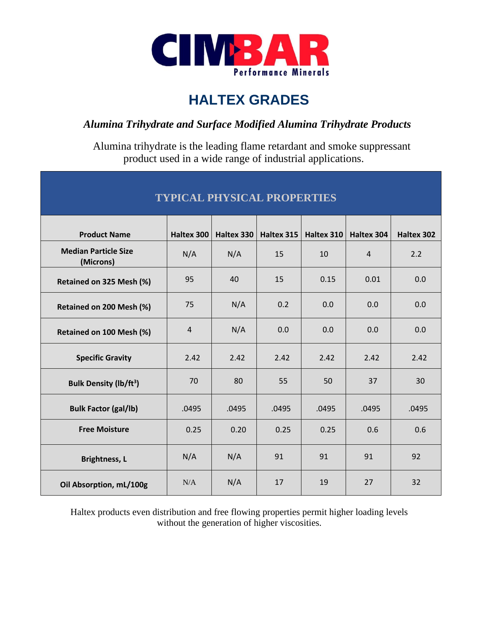

## **HALTEX GRADES**

## *Alumina Trihydrate and Surface Modified Alumina Trihydrate Products*

 Alumina trihydrate is the leading flame retardant and smoke suppressant product used in a wide range of industrial applications.

| <b>TYPICAL PHYSICAL PROPERTIES</b>       |                |            |            |            |                   |            |  |  |  |  |  |
|------------------------------------------|----------------|------------|------------|------------|-------------------|------------|--|--|--|--|--|
| <b>Product Name</b>                      | Haltex 300     | Haltex 330 | Haltex 315 | Haltex 310 | <b>Haltex 304</b> | Haltex 302 |  |  |  |  |  |
| <b>Median Particle Size</b><br>(Microns) | N/A            | N/A        | 15         | 10         | $\overline{4}$    | 2.2        |  |  |  |  |  |
| Retained on 325 Mesh (%)                 | 95             | 40         | 15         | 0.15       | 0.01              | 0.0        |  |  |  |  |  |
| Retained on 200 Mesh (%)                 | 75             | N/A        | 0.2        | 0.0        | 0.0               | 0.0        |  |  |  |  |  |
| Retained on 100 Mesh (%)                 | $\overline{4}$ | N/A        | 0.0        | 0.0        | 0.0               | 0.0        |  |  |  |  |  |
| <b>Specific Gravity</b>                  | 2.42           | 2.42       | 2.42       | 2.42       | 2.42              | 2.42       |  |  |  |  |  |
| <b>Bulk Density (lb/ft<sup>3</sup>)</b>  | 70             | 80         | 55         | 50         | 37                | 30         |  |  |  |  |  |
| <b>Bulk Factor (gal/lb)</b>              | .0495          | .0495      | .0495      | .0495      | .0495             | .0495      |  |  |  |  |  |
| <b>Free Moisture</b>                     | 0.25           | 0.20       | 0.25       | 0.25       | 0.6               | 0.6        |  |  |  |  |  |
| <b>Brightness, L</b>                     | N/A            | N/A        | 91         | 91         | 91                | 92         |  |  |  |  |  |
| Oil Absorption, mL/100g                  | N/A            | N/A        | 17         | 19         | 27                | 32         |  |  |  |  |  |

Haltex products even distribution and free flowing properties permit higher loading levels without the generation of higher viscosities.